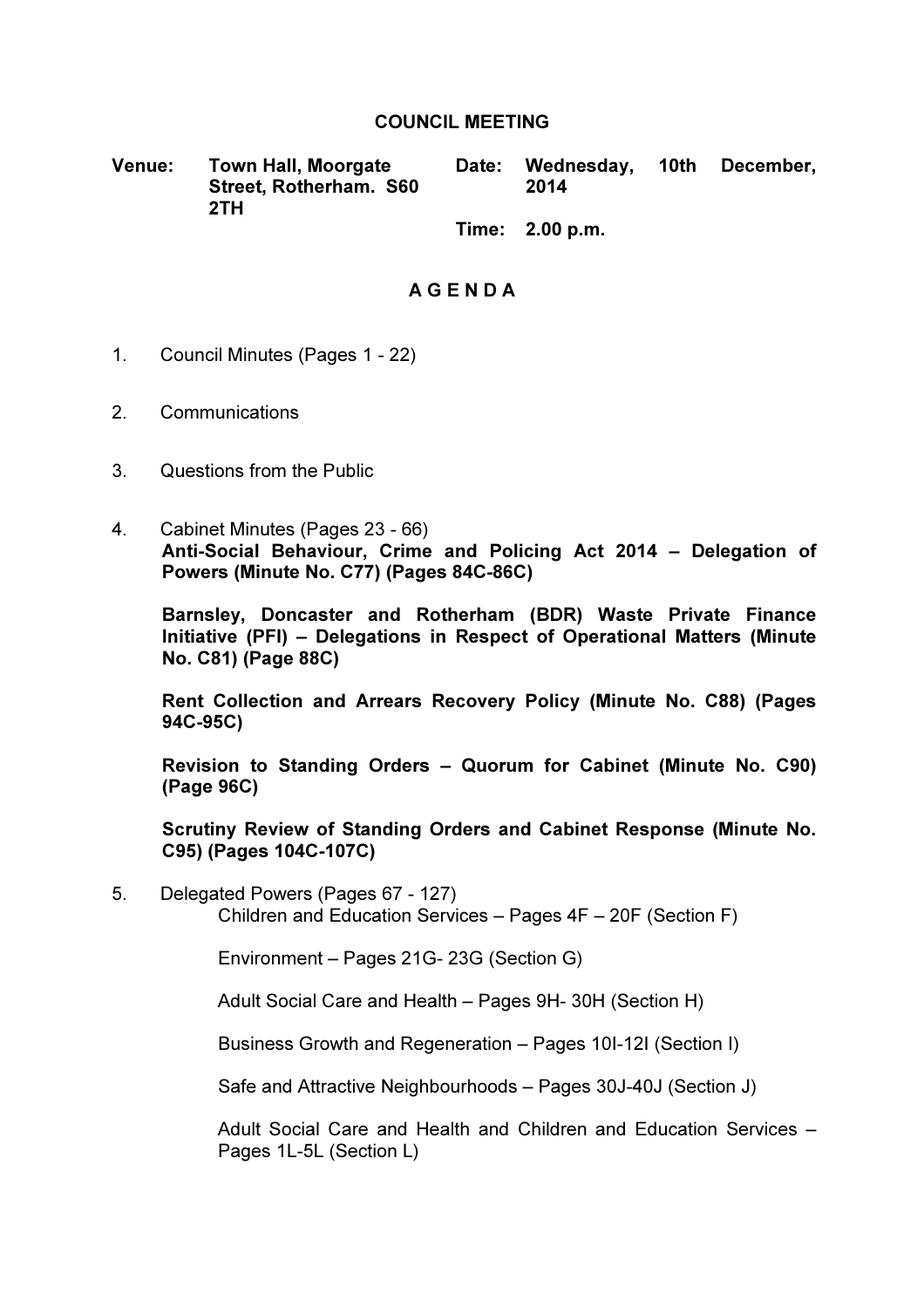#### COUNCIL MEETING

Venue: Town Hall, Moorgate Street, Rotherham. S60 2TH Date: Wednesday, 10th December, 2014

Time: 2.00 p.m.

## A G E N D A

- 1. Council Minutes (Pages 1 22)
- 2. Communications
- 3. Questions from the Public
- 4. Cabinet Minutes (Pages 23 66) Anti-Social Behaviour, Crime and Policing Act 2014 – Delegation of Powers (Minute No. C77) (Pages 84C-86C)

Barnsley, Doncaster and Rotherham (BDR) Waste Private Finance Initiative (PFI) – Delegations in Respect of Operational Matters (Minute No. C81) (Page 88C)

Rent Collection and Arrears Recovery Policy (Minute No. C88) (Pages 94C-95C)

Revision to Standing Orders – Quorum for Cabinet (Minute No. C90) (Page 96C)

Scrutiny Review of Standing Orders and Cabinet Response (Minute No. C95) (Pages 104C-107C)

5. Delegated Powers (Pages 67 - 127) Children and Education Services – Pages 4F – 20F (Section F)

Environment – Pages 21G- 23G (Section G)

Adult Social Care and Health – Pages 9H- 30H (Section H)

Business Growth and Regeneration – Pages 10I-12I (Section I)

Safe and Attractive Neighbourhoods – Pages 30J-40J (Section J)

Adult Social Care and Health and Children and Education Services – Pages 1L-5L (Section L)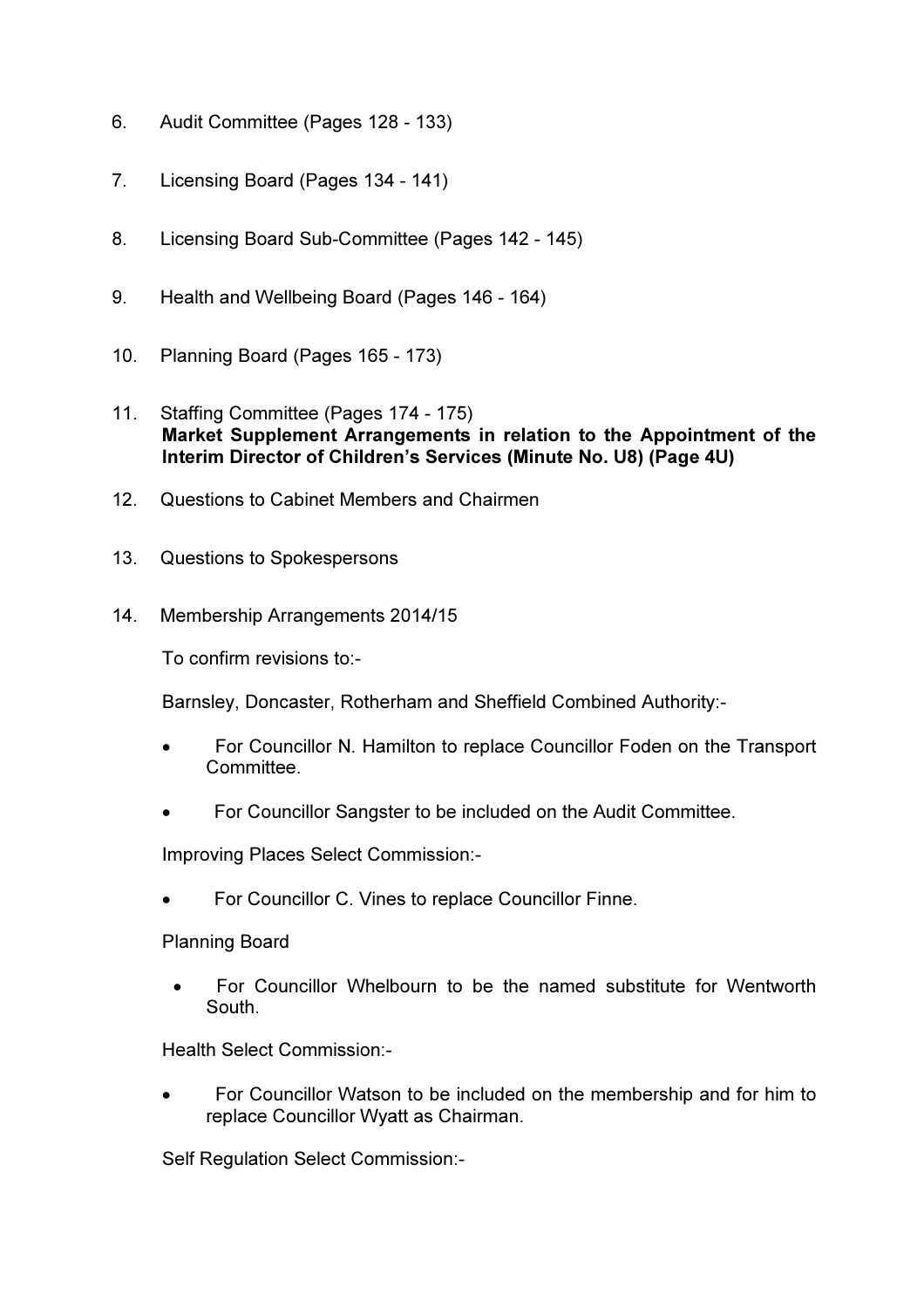- 6. Audit Committee (Pages 128 133)
- 7. Licensing Board (Pages 134 141)
- 8. Licensing Board Sub-Committee (Pages 142 145)
- 9. Health and Wellbeing Board (Pages 146 164)
- 10. Planning Board (Pages 165 173)
- 11. Staffing Committee (Pages 174 175) Market Supplement Arrangements in relation to the Appointment of the Interim Director of Children's Services (Minute No. U8) (Page 4U)
- 12. Questions to Cabinet Members and Chairmen
- 13. Questions to Spokespersons
- 14. Membership Arrangements 2014/15

To confirm revisions to:-

Barnsley, Doncaster, Rotherham and Sheffield Combined Authority:-

- For Councillor N. Hamilton to replace Councillor Foden on the Transport Committee.
- For Councillor Sangster to be included on the Audit Committee.

Improving Places Select Commission:-

• For Councillor C. Vines to replace Councillor Finne.

### Planning Board

• For Councillor Whelbourn to be the named substitute for Wentworth South.

Health Select Commission:-

• For Councillor Watson to be included on the membership and for him to replace Councillor Wyatt as Chairman.

Self Regulation Select Commission:-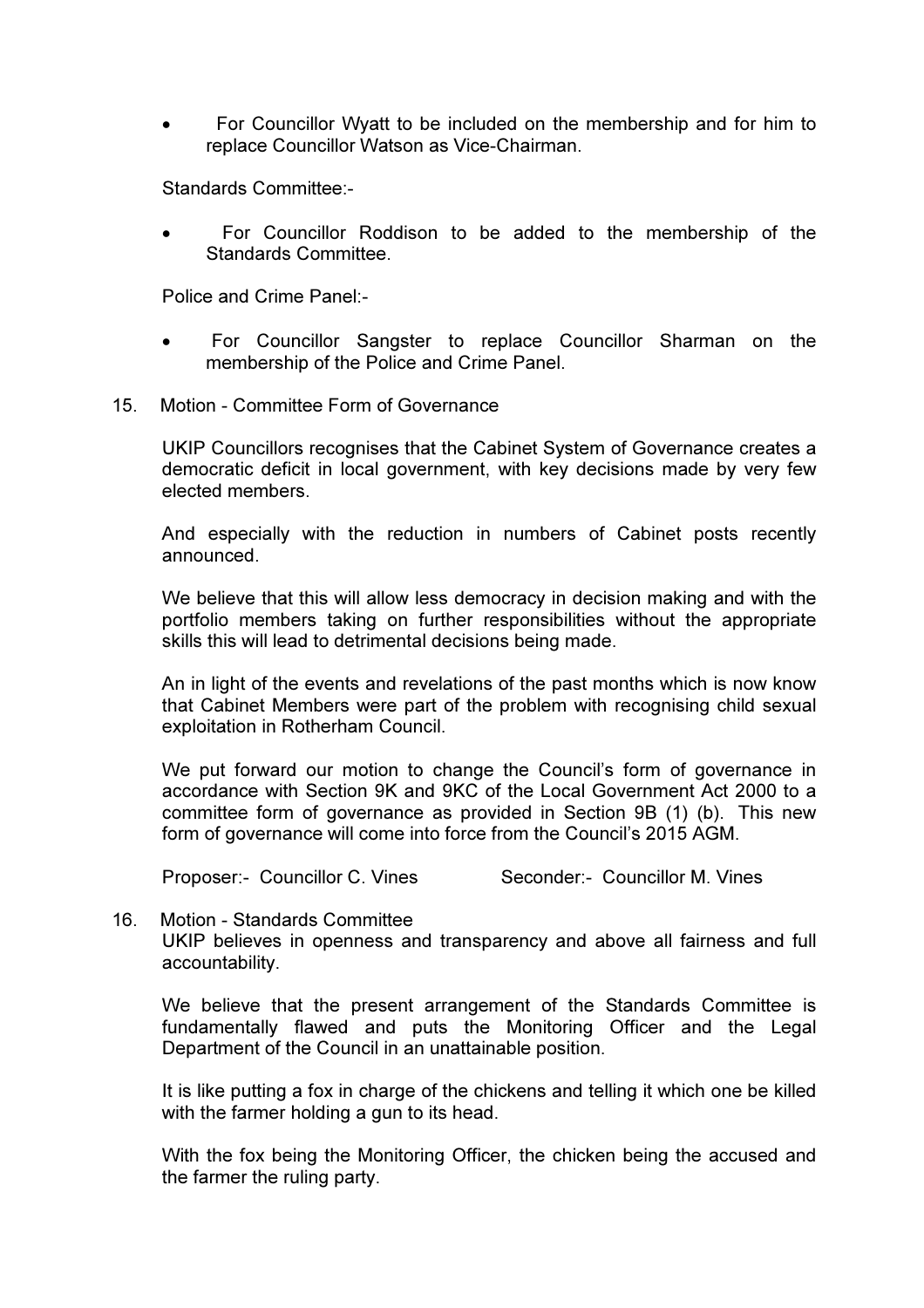• For Councillor Wyatt to be included on the membership and for him to replace Councillor Watson as Vice-Chairman.

Standards Committee:-

• For Councillor Roddison to be added to the membership of the Standards Committee.

Police and Crime Panel:-

- For Councillor Sangster to replace Councillor Sharman on the membership of the Police and Crime Panel.
- 15. Motion Committee Form of Governance

UKIP Councillors recognises that the Cabinet System of Governance creates a democratic deficit in local government, with key decisions made by very few elected members.

And especially with the reduction in numbers of Cabinet posts recently announced.

We believe that this will allow less democracy in decision making and with the portfolio members taking on further responsibilities without the appropriate skills this will lead to detrimental decisions being made.

An in light of the events and revelations of the past months which is now know that Cabinet Members were part of the problem with recognising child sexual exploitation in Rotherham Council.

We put forward our motion to change the Council's form of governance in accordance with Section 9K and 9KC of the Local Government Act 2000 to a committee form of governance as provided in Section 9B (1) (b). This new form of governance will come into force from the Council's 2015 AGM.

Proposer:- Councillor C. Vines Seconder:- Councillor M. Vines

16. Motion - Standards Committee UKIP believes in openness and transparency and above all fairness and full accountability.

We believe that the present arrangement of the Standards Committee is fundamentally flawed and puts the Monitoring Officer and the Legal Department of the Council in an unattainable position.

It is like putting a fox in charge of the chickens and telling it which one be killed with the farmer holding a gun to its head.

With the fox being the Monitoring Officer, the chicken being the accused and the farmer the ruling party.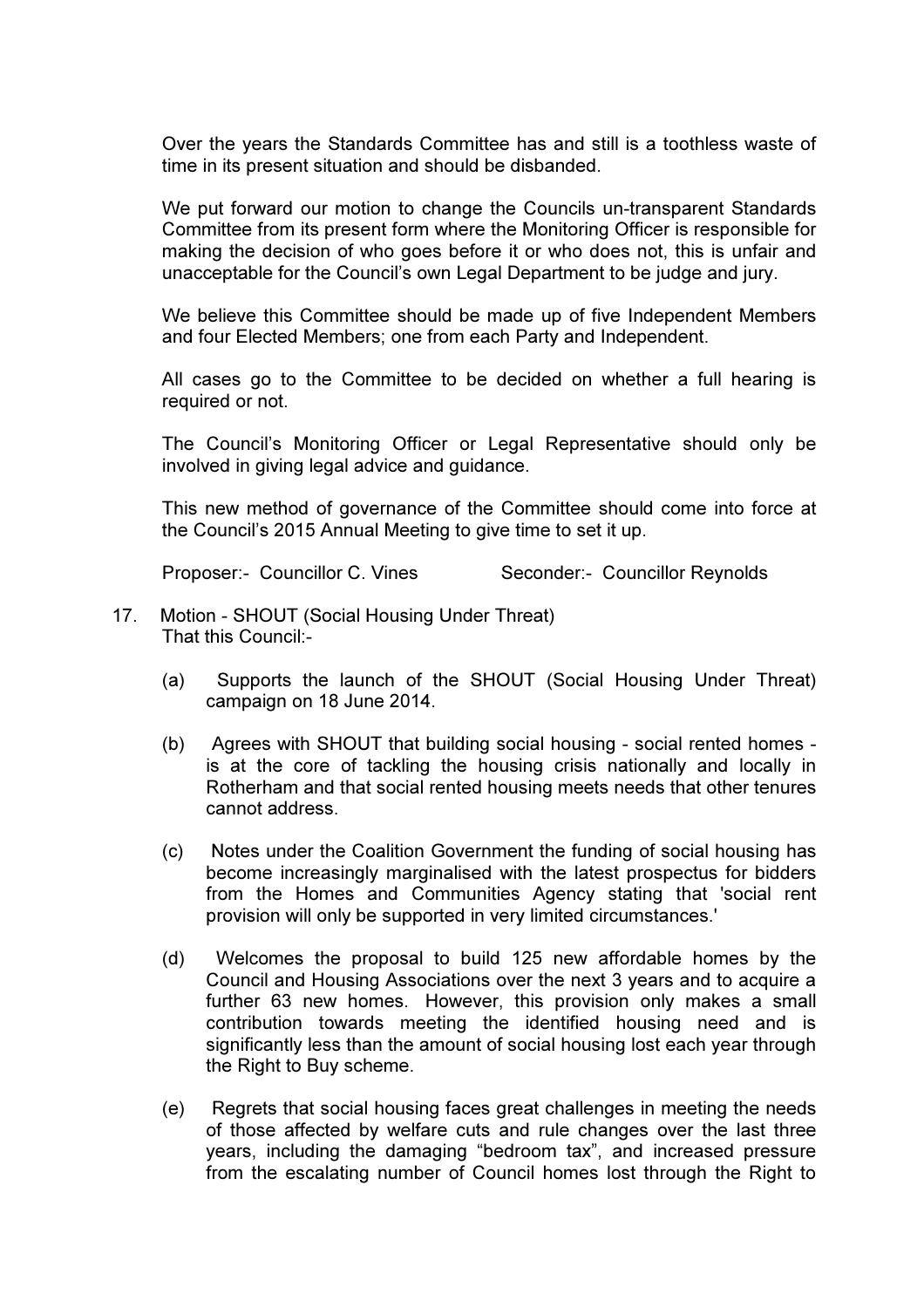Over the years the Standards Committee has and still is a toothless waste of time in its present situation and should be disbanded.

We put forward our motion to change the Councils un-transparent Standards Committee from its present form where the Monitoring Officer is responsible for making the decision of who goes before it or who does not, this is unfair and unacceptable for the Council's own Legal Department to be judge and jury.

We believe this Committee should be made up of five Independent Members and four Elected Members; one from each Party and Independent.

All cases go to the Committee to be decided on whether a full hearing is required or not.

The Council's Monitoring Officer or Legal Representative should only be involved in giving legal advice and guidance.

This new method of governance of the Committee should come into force at the Council's 2015 Annual Meeting to give time to set it up.

Proposer:- Councillor C. Vines Seconder:- Councillor Reynolds

- 17. Motion SHOUT (Social Housing Under Threat) That this Council:-
	- (a) Supports the launch of the SHOUT (Social Housing Under Threat) campaign on 18 June 2014.
	- (b) Agrees with SHOUT that building social housing social rented homes is at the core of tackling the housing crisis nationally and locally in Rotherham and that social rented housing meets needs that other tenures cannot address.
	- (c) Notes under the Coalition Government the funding of social housing has become increasingly marginalised with the latest prospectus for bidders from the Homes and Communities Agency stating that 'social rent provision will only be supported in very limited circumstances.'
	- (d) Welcomes the proposal to build 125 new affordable homes by the Council and Housing Associations over the next 3 years and to acquire a further 63 new homes. However, this provision only makes a small contribution towards meeting the identified housing need and is significantly less than the amount of social housing lost each year through the Right to Buy scheme.
	- (e) Regrets that social housing faces great challenges in meeting the needs of those affected by welfare cuts and rule changes over the last three years, including the damaging "bedroom tax", and increased pressure from the escalating number of Council homes lost through the Right to